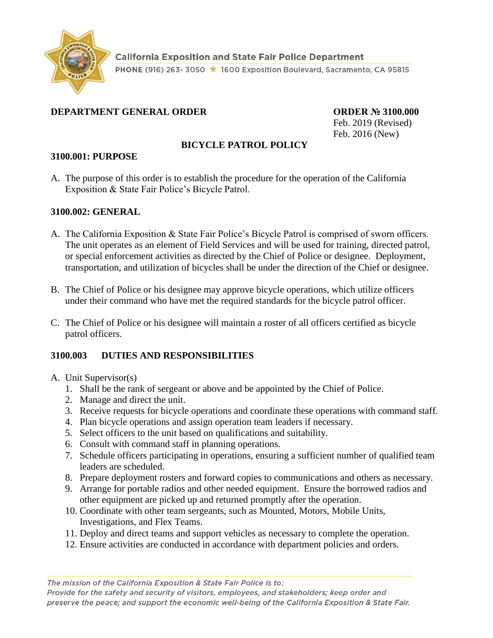

### **DEPARTMENT GENERAL ORDER ORDER № 3100.000**

Feb. 2019 (Revised) Feb. 2016 (New)

## **BICYCLE PATROL POLICY**

#### **3100.001: PURPOSE**

A. The purpose of this order is to establish the procedure for the operation of the California Exposition & State Fair Police's Bicycle Patrol.

#### **3100.002: GENERAL**

- A. The California Exposition & State Fair Police's Bicycle Patrol is comprised of sworn officers. The unit operates as an element of Field Services and will be used for training, directed patrol, or special enforcement activities as directed by the Chief of Police or designee. Deployment, transportation, and utilization of bicycles shall be under the direction of the Chief or designee.
- B. The Chief of Police or his designee may approve bicycle operations, which utilize officers under their command who have met the required standards for the bicycle patrol officer.
- C. The Chief of Police or his designee will maintain a roster of all officers certified as bicycle patrol officers.

### **3100.003 DUTIES AND RESPONSIBILITIES**

- A. Unit Supervisor(s)
	- 1. Shall be the rank of sergeant or above and be appointed by the Chief of Police.
	- 2. Manage and direct the unit.
	- 3. Receive requests for bicycle operations and coordinate these operations with command staff.
	- 4. Plan bicycle operations and assign operation team leaders if necessary.
	- 5. Select officers to the unit based on qualifications and suitability.
	- 6. Consult with command staff in planning operations.
	- 7. Schedule officers participating in operations, ensuring a sufficient number of qualified team leaders are scheduled.
	- 8. Prepare deployment rosters and forward copies to communications and others as necessary.
	- 9. Arrange for portable radios and other needed equipment. Ensure the borrowed radios and other equipment are picked up and returned promptly after the operation.
	- 10. Coordinate with other team sergeants, such as Mounted, Motors, Mobile Units, Investigations, and Flex Teams.
	- 11. Deploy and direct teams and support vehicles as necessary to complete the operation.
	- 12. Ensure activities are conducted in accordance with department policies and orders.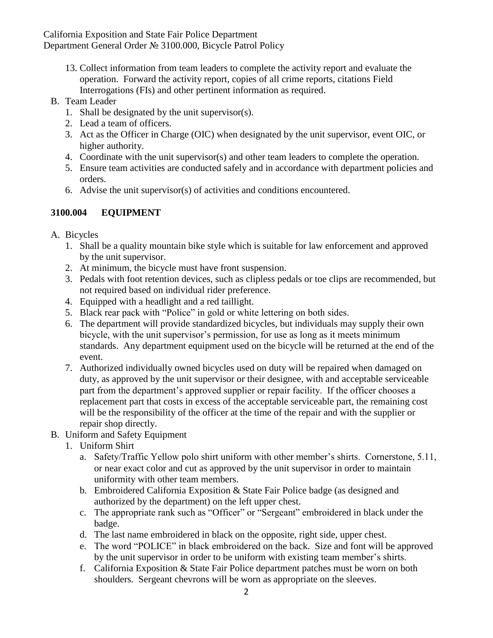California Exposition and State Fair Police Department Department General Order № 3100.000, Bicycle Patrol Policy

13. Collect information from team leaders to complete the activity report and evaluate the operation. Forward the activity report, copies of all crime reports, citations Field Interrogations (FIs) and other pertinent information as required.

### B. Team Leader

- 1. Shall be designated by the unit supervisor(s).
- 2. Lead a team of officers.
- 3. Act as the Officer in Charge (OIC) when designated by the unit supervisor, event OIC, or higher authority.
- 4. Coordinate with the unit supervisor(s) and other team leaders to complete the operation.
- 5. Ensure team activities are conducted safely and in accordance with department policies and orders.
- 6. Advise the unit supervisor(s) of activities and conditions encountered.

## **3100.004 EQUIPMENT**

- A. Bicycles
	- 1. Shall be a quality mountain bike style which is suitable for law enforcement and approved by the unit supervisor.
	- 2. At minimum, the bicycle must have front suspension.
	- 3. Pedals with foot retention devices, such as clipless pedals or toe clips are recommended, but not required based on individual rider preference.
	- 4. Equipped with a headlight and a red taillight.
	- 5. Black rear pack with "Police" in gold or white lettering on both sides.
	- 6. The department will provide standardized bicycles, but individuals may supply their own bicycle, with the unit supervisor's permission, for use as long as it meets minimum standards. Any department equipment used on the bicycle will be returned at the end of the event.
	- 7. Authorized individually owned bicycles used on duty will be repaired when damaged on duty, as approved by the unit supervisor or their designee, with and acceptable serviceable part from the department's approved supplier or repair facility. If the officer chooses a replacement part that costs in excess of the acceptable serviceable part, the remaining cost will be the responsibility of the officer at the time of the repair and with the supplier or repair shop directly.
- B. Uniform and Safety Equipment
	- 1. Uniform Shirt
		- a. Safety/Traffic Yellow polo shirt uniform with other member's shirts. Cornerstone, 5.11, or near exact color and cut as approved by the unit supervisor in order to maintain uniformity with other team members.
		- b. Embroidered California Exposition & State Fair Police badge (as designed and authorized by the department) on the left upper chest.
		- c. The appropriate rank such as "Officer" or "Sergeant" embroidered in black under the badge.
		- d. The last name embroidered in black on the opposite, right side, upper chest.
		- e. The word "POLICE" in black embroidered on the back. Size and font will be approved by the unit supervisor in order to be uniform with existing team member's shirts.
		- f. California Exposition & State Fair Police department patches must be worn on both shoulders. Sergeant chevrons will be worn as appropriate on the sleeves.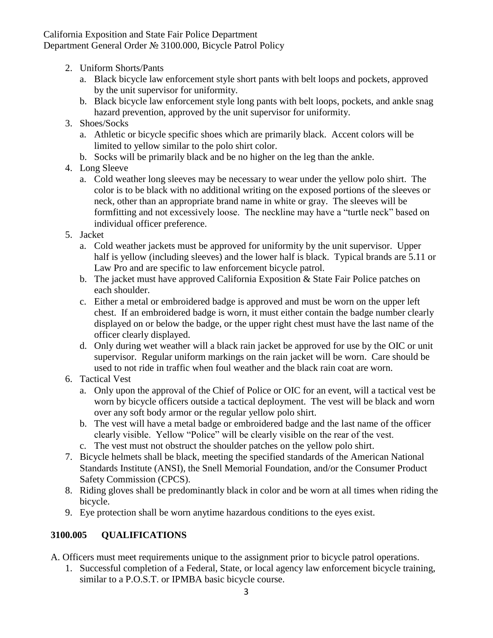California Exposition and State Fair Police Department Department General Order № 3100.000, Bicycle Patrol Policy

- 2. Uniform Shorts/Pants
	- a. Black bicycle law enforcement style short pants with belt loops and pockets, approved by the unit supervisor for uniformity.
	- b. Black bicycle law enforcement style long pants with belt loops, pockets, and ankle snag hazard prevention, approved by the unit supervisor for uniformity.
- 3. Shoes/Socks
	- a. Athletic or bicycle specific shoes which are primarily black. Accent colors will be limited to yellow similar to the polo shirt color.
	- b. Socks will be primarily black and be no higher on the leg than the ankle.
- 4. Long Sleeve
	- a. Cold weather long sleeves may be necessary to wear under the yellow polo shirt. The color is to be black with no additional writing on the exposed portions of the sleeves or neck, other than an appropriate brand name in white or gray. The sleeves will be formfitting and not excessively loose. The neckline may have a "turtle neck" based on individual officer preference.
- 5. Jacket
	- a. Cold weather jackets must be approved for uniformity by the unit supervisor. Upper half is yellow (including sleeves) and the lower half is black. Typical brands are 5.11 or Law Pro and are specific to law enforcement bicycle patrol.
	- b. The jacket must have approved California Exposition & State Fair Police patches on each shoulder.
	- c. Either a metal or embroidered badge is approved and must be worn on the upper left chest. If an embroidered badge is worn, it must either contain the badge number clearly displayed on or below the badge, or the upper right chest must have the last name of the officer clearly displayed.
	- d. Only during wet weather will a black rain jacket be approved for use by the OIC or unit supervisor. Regular uniform markings on the rain jacket will be worn. Care should be used to not ride in traffic when foul weather and the black rain coat are worn.
- 6. Tactical Vest
	- a. Only upon the approval of the Chief of Police or OIC for an event, will a tactical vest be worn by bicycle officers outside a tactical deployment. The vest will be black and worn over any soft body armor or the regular yellow polo shirt.
	- b. The vest will have a metal badge or embroidered badge and the last name of the officer clearly visible. Yellow "Police" will be clearly visible on the rear of the vest.
	- c. The vest must not obstruct the shoulder patches on the yellow polo shirt.
- 7. Bicycle helmets shall be black, meeting the specified standards of the American National Standards Institute (ANSI), the Snell Memorial Foundation, and/or the Consumer Product Safety Commission (CPCS).
- 8. Riding gloves shall be predominantly black in color and be worn at all times when riding the bicycle.
- 9. Eye protection shall be worn anytime hazardous conditions to the eyes exist.

# **3100.005 QUALIFICATIONS**

- A. Officers must meet requirements unique to the assignment prior to bicycle patrol operations.
	- 1. Successful completion of a Federal, State, or local agency law enforcement bicycle training, similar to a P.O.S.T. or IPMBA basic bicycle course.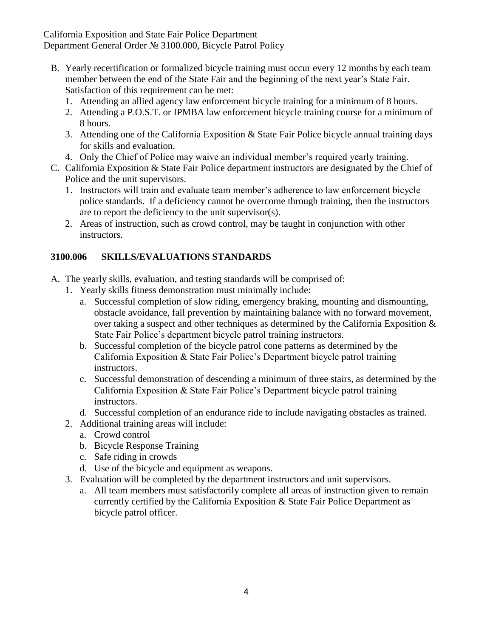California Exposition and State Fair Police Department Department General Order № 3100.000, Bicycle Patrol Policy

- B. Yearly recertification or formalized bicycle training must occur every 12 months by each team member between the end of the State Fair and the beginning of the next year's State Fair. Satisfaction of this requirement can be met:
	- 1. Attending an allied agency law enforcement bicycle training for a minimum of 8 hours.
	- 2. Attending a P.O.S.T. or IPMBA law enforcement bicycle training course for a minimum of 8 hours.
	- 3. Attending one of the California Exposition & State Fair Police bicycle annual training days for skills and evaluation.
	- 4. Only the Chief of Police may waive an individual member's required yearly training.
- C. California Exposition & State Fair Police department instructors are designated by the Chief of Police and the unit supervisors.
	- 1. Instructors will train and evaluate team member's adherence to law enforcement bicycle police standards. If a deficiency cannot be overcome through training, then the instructors are to report the deficiency to the unit supervisor(s).
	- 2. Areas of instruction, such as crowd control, may be taught in conjunction with other instructors.

## **3100.006 SKILLS/EVALUATIONS STANDARDS**

- A. The yearly skills, evaluation, and testing standards will be comprised of:
	- 1. Yearly skills fitness demonstration must minimally include:
		- a. Successful completion of slow riding, emergency braking, mounting and dismounting, obstacle avoidance, fall prevention by maintaining balance with no forward movement, over taking a suspect and other techniques as determined by the California Exposition & State Fair Police's department bicycle patrol training instructors.
		- b. Successful completion of the bicycle patrol cone patterns as determined by the California Exposition & State Fair Police's Department bicycle patrol training instructors.
		- c. Successful demonstration of descending a minimum of three stairs, as determined by the California Exposition & State Fair Police's Department bicycle patrol training instructors.
		- d. Successful completion of an endurance ride to include navigating obstacles as trained.
	- 2. Additional training areas will include:
		- a. Crowd control
		- b. Bicycle Response Training
		- c. Safe riding in crowds
		- d. Use of the bicycle and equipment as weapons.
	- 3. Evaluation will be completed by the department instructors and unit supervisors.
		- a. All team members must satisfactorily complete all areas of instruction given to remain currently certified by the California Exposition & State Fair Police Department as bicycle patrol officer.